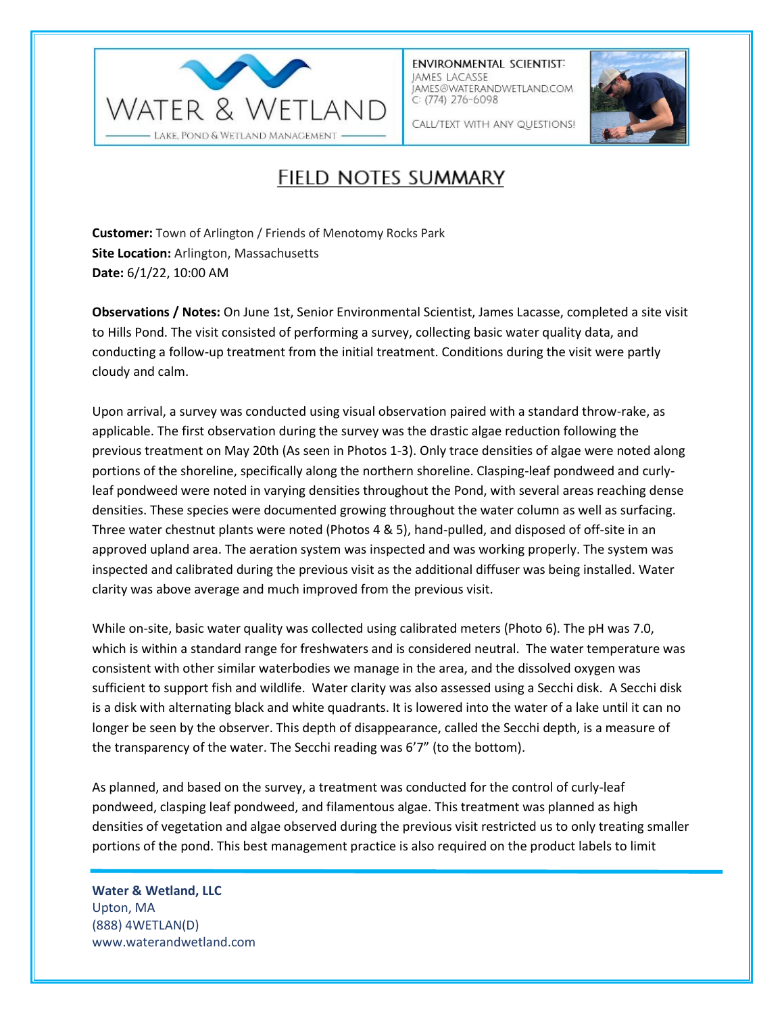

**ENVIRONMENTAL SCIENTIST:** JAMES LACASSE IAMES@WATERANDWETLAND.COM  $C: (774)$  276-6098



CALL/TEXT WITH ANY QUESTIONS!

## FIELD NOTES SUMMARY

**Customer:** Town of Arlington / Friends of Menotomy Rocks Park **Site Location:** Arlington, Massachusetts **Date:** 6/1/22, 10:00 AM

**Observations / Notes:** On June 1st, Senior Environmental Scientist, James Lacasse, completed a site visit to Hills Pond. The visit consisted of performing a survey, collecting basic water quality data, and conducting a follow-up treatment from the initial treatment. Conditions during the visit were partly cloudy and calm.

Upon arrival, a survey was conducted using visual observation paired with a standard throw-rake, as applicable. The first observation during the survey was the drastic algae reduction following the previous treatment on May 20th (As seen in Photos 1-3). Only trace densities of algae were noted along portions of the shoreline, specifically along the northern shoreline. Clasping-leaf pondweed and curlyleaf pondweed were noted in varying densities throughout the Pond, with several areas reaching dense densities. These species were documented growing throughout the water column as well as surfacing. Three water chestnut plants were noted (Photos 4 & 5), hand-pulled, and disposed of off-site in an approved upland area. The aeration system was inspected and was working properly. The system was inspected and calibrated during the previous visit as the additional diffuser was being installed. Water clarity was above average and much improved from the previous visit.

While on-site, basic water quality was collected using calibrated meters (Photo 6). The pH was 7.0, which is within a standard range for freshwaters and is considered neutral. The water temperature was consistent with other similar waterbodies we manage in the area, and the dissolved oxygen was sufficient to support fish and wildlife. Water clarity was also assessed using a Secchi disk. A Secchi disk is a disk with alternating black and white quadrants. It is lowered into the water of a lake until it can no longer be seen by the observer. This depth of disappearance, called the Secchi depth, is a measure of the transparency of the water. The Secchi reading was 6'7" (to the bottom).

As planned, and based on the survey, a treatment was conducted for the control of curly-leaf pondweed, clasping leaf pondweed, and filamentous algae. This treatment was planned as high densities of vegetation and algae observed during the previous visit restricted us to only treating smaller portions of the pond. This best management practice is also required on the product labels to limit

**Water & Wetland, LLC** Upton, MA (888) 4WETLAN(D) www.waterandwetland.com